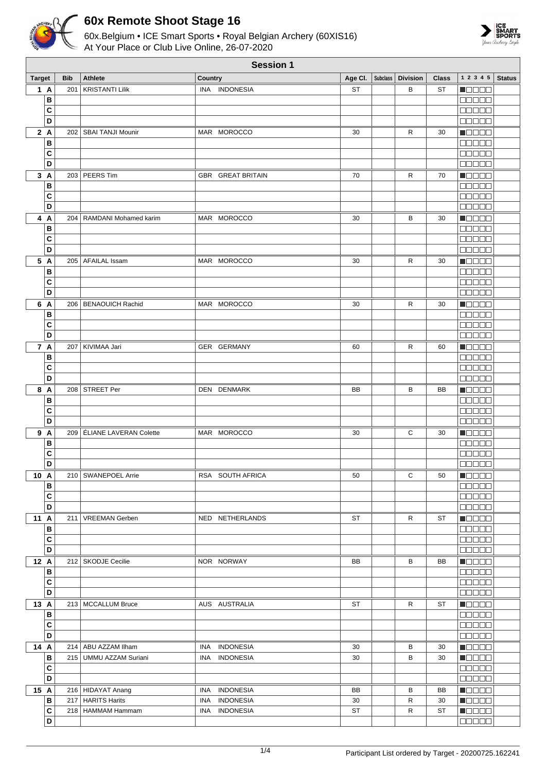

## **60x Remote Shoot Stage 16**

60x.Belgium • ICE Smart Sports • Royal Belgian Archery (60XIS16) At Your Place or Club Live Online, 26-07-2020



| <b>Session 1</b> |            |                              |                          |           |  |                     |              |                                                             |               |
|------------------|------------|------------------------------|--------------------------|-----------|--|---------------------|--------------|-------------------------------------------------------------|---------------|
| <b>Target</b>    | <b>Bib</b> | <b>Athlete</b>               | Country                  | Age CI.   |  | Subclass   Division | <b>Class</b> | 1 2 3 4 5                                                   | <b>Status</b> |
| 1 A              | 201        | <b>KRISTANTI Lilik</b>       | INA INDONESIA            | <b>ST</b> |  | В                   | <b>ST</b>    | N O D O O                                                   |               |
| В                |            |                              |                          |           |  |                     |              | an a sa                                                     |               |
| C                |            |                              |                          |           |  |                     |              | <b>BBBBB</b>                                                |               |
| D                |            |                              |                          |           |  |                     |              | <b>00000</b>                                                |               |
| 2A               |            | 202   SBAI TANJI Mounir      | MAR MOROCCO              | 30        |  | R                   | 30           | <b>Maaaa</b>                                                |               |
| B                |            |                              |                          |           |  |                     |              | 00000                                                       |               |
| C                |            |                              |                          |           |  |                     |              | 00000                                                       |               |
| D                |            |                              |                          |           |  |                     |              | <b>00000</b>                                                |               |
|                  |            | 203 PEERS Tim                | <b>GBR GREAT BRITAIN</b> | 70        |  | R                   | 70           |                                                             |               |
| 3A<br>B          |            |                              |                          |           |  |                     |              | Maaaa<br><b>00000</b>                                       |               |
| C                |            |                              |                          |           |  |                     |              | 80000                                                       |               |
| D                |            |                              |                          |           |  |                     |              |                                                             |               |
|                  |            |                              |                          |           |  |                     |              | <b>00000</b>                                                |               |
| 4 A              |            | 204   RAMDANI Mohamed karim  | MAR MOROCCO              | 30        |  | В                   | 30           | <b>Maaaa</b>                                                |               |
| B                |            |                              |                          |           |  |                     |              | <b>BBBBB</b>                                                |               |
| C                |            |                              |                          |           |  |                     |              | 80000                                                       |               |
| D                |            |                              |                          |           |  |                     |              | 88888                                                       |               |
| 5 A              |            | 205   AFAILAL Issam          | MAR MOROCCO              | 30        |  | R                   | 30           | $\blacksquare$                                              |               |
| В                |            |                              |                          |           |  |                     |              | 00000                                                       |               |
| C                |            |                              |                          |           |  |                     |              | an an a                                                     |               |
| D                |            |                              |                          |           |  |                     |              | Maaaa                                                       |               |
| 6 A              |            | 206   BENAOUICH Rachid       | MAR MOROCCO              | 30        |  | R                   | 30           | <b>MODOO</b>                                                |               |
| B                |            |                              |                          |           |  |                     |              | an a sh                                                     |               |
| C                |            |                              |                          |           |  |                     |              | 00000                                                       |               |
| D                |            |                              |                          |           |  |                     |              | $\Box$ $\Box$ $\Box$ $\Box$ $\Box$                          |               |
| 7 A              | 207        | KIVIMAA Jari                 | GER GERMANY              | 60        |  | R                   | 60           | <b>Maaaa</b>                                                |               |
| B                |            |                              |                          |           |  |                     |              | 00000                                                       |               |
| C                |            |                              |                          |           |  |                     |              | an da s                                                     |               |
| D                |            |                              |                          |           |  |                     |              | $\Box \Box \Box \Box \Box$                                  |               |
| 8 A              |            | 208 STREET Per               | DEN DENMARK              | BB        |  | B                   | BB           | Maaaa                                                       |               |
| В                |            |                              |                          |           |  |                     |              | 00000                                                       |               |
| C                |            |                              |                          |           |  |                     |              | anan                                                        |               |
| D                |            |                              |                          |           |  |                     |              | 00000                                                       |               |
| 9 A              |            | 209   ÉLIANE LAVERAN Colette | MAR MOROCCO              | 30        |  | С                   | 30           | <b>Nacao</b>                                                |               |
| B                |            |                              |                          |           |  |                     |              | <b>00000</b>                                                |               |
| C                |            |                              |                          |           |  |                     |              | 88888                                                       |               |
| D                |            |                              |                          |           |  |                     |              | <b>NODOO</b>                                                |               |
| 10 A             |            | 210   SWANEPOEL Arrie        | RSA SOUTH AFRICA         | 50        |  | С                   | 50           | <b>REBEE</b>                                                |               |
| В                |            |                              |                          |           |  |                     |              | <b>00000</b>                                                |               |
| $\mathbf{C}$     |            |                              |                          |           |  |                     |              | 00000                                                       |               |
| D                |            |                              |                          |           |  |                     |              | <b>00000</b>                                                |               |
| 11 A             |            | 211   VREEMAN Gerben         | NED NETHERLANDS          | ST        |  | R                   | ST           | $\blacksquare$ $\square$ $\square$ $\square$                |               |
| B                |            |                              |                          |           |  |                     |              | <b>00000</b>                                                |               |
| C                |            |                              |                          |           |  |                     |              | <b>00000</b>                                                |               |
| D                |            |                              |                          |           |  |                     |              | 00000                                                       |               |
| 12 A             |            | 212   SKODJE Cecilie         |                          |           |  |                     |              |                                                             |               |
|                  |            |                              | NOR NORWAY               | BB        |  | В                   | BB           | Maaaa                                                       |               |
| B                |            |                              |                          |           |  |                     |              | 00000                                                       |               |
| С<br>D           |            |                              |                          |           |  |                     |              | <b>00000</b>                                                |               |
|                  |            |                              |                          |           |  |                     |              | <b>00000</b>                                                |               |
| 13 A             |            | 213   MCCALLUM Bruce         | AUS AUSTRALIA            | ST        |  | R                   | ST           | <b>Madaa</b>                                                |               |
| В                |            |                              |                          |           |  |                     |              | <b>00000</b>                                                |               |
| $\mathbf{C}$     |            |                              |                          |           |  |                     |              | $\Box$ $\Box$ $\Box$ $\Box$                                 |               |
| D                |            |                              |                          |           |  |                     |              | 00000                                                       |               |
| 14 A             |            | 214   ABU AZZAM Ilham        | INA INDONESIA            | 30        |  | в                   | 30           | $\blacksquare$ $\square$ $\square$ $\blacksquare$           |               |
| В                |            | 215   UMMU AZZAM Suriani     | INA INDONESIA            | 30        |  | в                   | 30           | $\blacksquare$ $\blacksquare$ $\blacksquare$ $\blacksquare$ |               |
| $\mathbf{C}$     |            |                              |                          |           |  |                     |              | ee e e e                                                    |               |
| D                |            |                              |                          |           |  |                     |              | <b>00000</b>                                                |               |
| 15 A             |            | 216   HIDAYAT Anang          | INA INDONESIA            | BB        |  | в                   | BB           | $\blacksquare$                                              |               |
| B                |            | 217   HARITS Harits          | <b>INDONESIA</b><br>INA  | 30        |  | R                   | 30           | $\blacksquare$                                              |               |
| $\mathbf{C}$     |            | 218   HAMMAM Hammam          | INA INDONESIA            | <b>ST</b> |  | R                   | <b>ST</b>    | $\blacksquare$ $\square$ $\square$ $\square$                |               |
| D                |            |                              |                          |           |  |                     |              | <b>00000</b>                                                |               |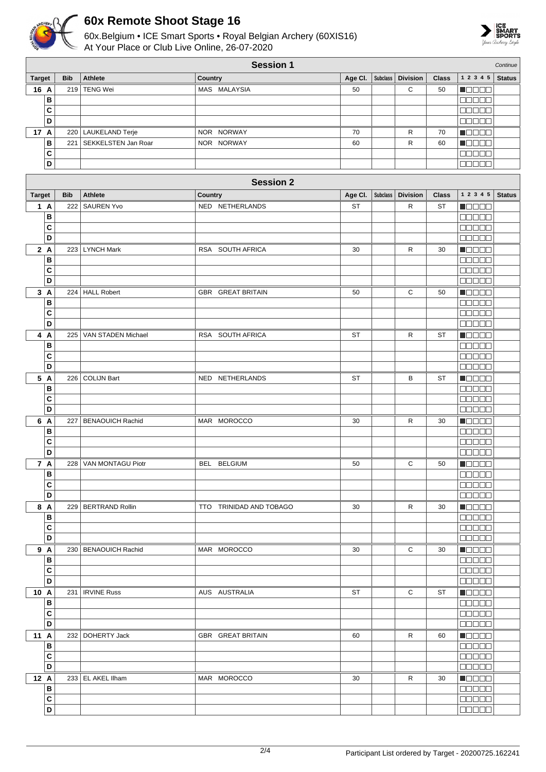

## **60x Remote Shoot Stage 16**

60x.Belgium • ICE Smart Sports • Royal Belgian Archery (60XIS16) At Your Place or Club Live Online, 26-07-2020



|                         | <b>Session 1</b><br>Continue |                         |                         |           |                 |                 |              |                                              |               |
|-------------------------|------------------------------|-------------------------|-------------------------|-----------|-----------------|-----------------|--------------|----------------------------------------------|---------------|
| <b>Target</b>           | <b>Bib</b>                   | Athlete                 | Country                 | Age Cl.   | <b>Subclass</b> | <b>Division</b> | <b>Class</b> | 1 2 3 4 5                                    | <b>Status</b> |
| 16 A                    | 219                          | <b>TENG Wei</b>         | MAS MALAYSIA            | 50        |                 | С               | 50           | N E E E E                                    |               |
| B                       |                              |                         |                         |           |                 |                 |              | an a sa                                      |               |
| $\mathbf{C}$            |                              |                         |                         |           |                 |                 |              | <b>BOBBB</b>                                 |               |
| D                       |                              |                         |                         |           |                 |                 |              | <b>NODOO</b>                                 |               |
| 17 A                    |                              | 220 LAUKELAND Terje     | NOR NORWAY              | 70        |                 | R               | 70           | <b>Maaaa</b>                                 |               |
| $\, {\bf B}$            | 221                          | SEKKELSTEN Jan Roar     | NOR NORWAY              | 60        |                 | R               | 60           | <u>maaan</u>                                 |               |
| C                       |                              |                         |                         |           |                 |                 |              | 88888                                        |               |
| D                       |                              |                         |                         |           |                 |                 |              | 88888                                        |               |
|                         |                              |                         |                         |           |                 |                 |              |                                              |               |
|                         |                              |                         | <b>Session 2</b>        |           |                 |                 |              |                                              |               |
| <b>Target</b>           | <b>Bib</b>                   | <b>Athlete</b>          | Country                 | Age CI.   | <b>Subclass</b> | <b>Division</b> | <b>Class</b> | 1 2 3 4 5                                    | <b>Status</b> |
| 1A                      | 222                          | <b>SAUREN Yvo</b>       | NED NETHERLANDS         | <b>ST</b> |                 | R               | <b>ST</b>    | Maaaa                                        |               |
| B                       |                              |                         |                         |           |                 |                 |              | ooooo                                        |               |
| C                       |                              |                         |                         |           |                 |                 |              | <b>MARAL</b>                                 |               |
| D                       |                              |                         |                         |           |                 |                 |              | 88888                                        |               |
|                         |                              |                         |                         |           |                 |                 |              |                                              |               |
| 2A                      | 223                          | <b>LYNCH Mark</b>       | RSA SOUTH AFRICA        | 30        |                 | R               | 30           | <b>MODOO</b>                                 |               |
| B                       |                              |                         |                         |           |                 |                 |              | 00000                                        |               |
| C                       |                              |                         |                         |           |                 |                 |              | <b>BEBEE</b>                                 |               |
| D                       |                              |                         |                         |           |                 |                 |              | <b>NODOO</b>                                 |               |
| 3A                      | 224                          | <b>HALL Robert</b>      | GBR GREAT BRITAIN       | 50        |                 | С               | 50           | Maaaa                                        |               |
| $\, {\bf B}$            |                              |                         |                         |           |                 |                 |              | 88888                                        |               |
| C                       |                              |                         |                         |           |                 |                 |              | <b>00000</b>                                 |               |
| D                       |                              |                         |                         |           |                 |                 |              | <b>BBBBB</b>                                 |               |
| 4 A                     | 225                          | VAN STADEN Michael      | RSA SOUTH AFRICA        | ST        |                 | R               | ST           | <b>NEBEE</b>                                 |               |
| B                       |                              |                         |                         |           |                 |                 |              | <b>NODOO</b>                                 |               |
| C                       |                              |                         |                         |           |                 |                 |              | 88888                                        |               |
| D                       |                              |                         |                         |           |                 |                 |              | a a a a a                                    |               |
| 5 A                     | 226                          | <b>COLIJN Bart</b>      | NED NETHERLANDS         | ST        |                 | В               | ST           | Maaaa                                        |               |
| B                       |                              |                         |                         |           |                 |                 |              | <b>BOBBB</b>                                 |               |
| C                       |                              |                         |                         |           |                 |                 |              | 88888                                        |               |
| D                       |                              |                         |                         |           |                 |                 |              | <b>00000</b>                                 |               |
| 6 A                     | 227                          | <b>BENAOUICH Rachid</b> | MAR MOROCCO             | 30        |                 | R               | 30           | <b>M</b> OOOO                                |               |
| B                       |                              |                         |                         |           |                 |                 |              | 88888                                        |               |
| C                       |                              |                         |                         |           |                 |                 |              | 80000                                        |               |
| D                       |                              |                         |                         |           |                 |                 |              | 88888                                        |               |
| 7 A                     |                              | 228   VAN MONTAGU Piotr | BEL BELGIUM             | 50        |                 | С               | 50           | <b>MODOO</b>                                 |               |
| В                       |                              |                         |                         |           |                 |                 |              | 80000                                        |               |
| C                       |                              |                         |                         |           |                 |                 |              | <b>BOOOO</b>                                 |               |
| D                       |                              |                         |                         |           |                 |                 |              | <b>REBEL</b>                                 |               |
| 8 A                     |                              | 229   BERTRAND Rollin   | TTO TRINIDAD AND TOBAGO | 30        |                 | R               | 30           | $\blacksquare$ $\blacksquare$ $\blacksquare$ |               |
| $\, {\bf B}$            |                              |                         |                         |           |                 |                 |              | 88888                                        |               |
| $\mathbf{C}$            |                              |                         |                         |           |                 |                 |              | 00000                                        |               |
| D                       |                              |                         |                         |           |                 |                 |              | 88888                                        |               |
| 9 A                     |                              | 230   BENAOUICH Rachid  | MAR MOROCCO             | 30        |                 | C               | 30           | <b>Macao</b>                                 |               |
| $\, {\bf B}$            |                              |                         |                         |           |                 |                 |              | <b>MANO A</b>                                |               |
| $\mathbf{C}$            |                              |                         |                         |           |                 |                 |              | 88888                                        |               |
| D                       |                              |                         |                         |           |                 |                 |              | <b>00000</b>                                 |               |
|                         |                              |                         |                         | ST        |                 | C               | ST           |                                              |               |
| 10 A<br>$\, {\bf B}$    |                              | 231   IRVINE Russ       | AUS AUSTRALIA           |           |                 |                 |              | $\blacksquare$                               |               |
| $\mathbf{C}$            |                              |                         |                         |           |                 |                 |              | <b>00000</b><br>$\Box \Box \Box \Box \Box$   |               |
| D                       |                              |                         |                         |           |                 |                 |              |                                              |               |
|                         |                              |                         |                         |           |                 |                 |              | 00000                                        |               |
| 11 A                    |                              | 232   DOHERTY Jack      | GBR GREAT BRITAIN       | 60        |                 | R               | 60           | $\blacksquare$                               |               |
| B                       |                              |                         |                         |           |                 |                 |              | 00000                                        |               |
| C                       |                              |                         |                         |           |                 |                 |              | 00000                                        |               |
| $\overline{\mathsf{D}}$ |                              |                         |                         |           |                 |                 |              | 88888                                        |               |
| 12 A                    |                              | 233   EL AKEL Ilham     | MAR MOROCCO             | 30        |                 | R               | 30           | $\blacksquare$                               |               |
| $\, {\bf B}$            |                              |                         |                         |           |                 |                 |              | 88888                                        |               |
| $\mathbf{C}$            |                              |                         |                         |           |                 |                 |              | <b>00000</b>                                 |               |
| $\overline{\mathsf{D}}$ |                              |                         |                         |           |                 |                 |              | 88888                                        |               |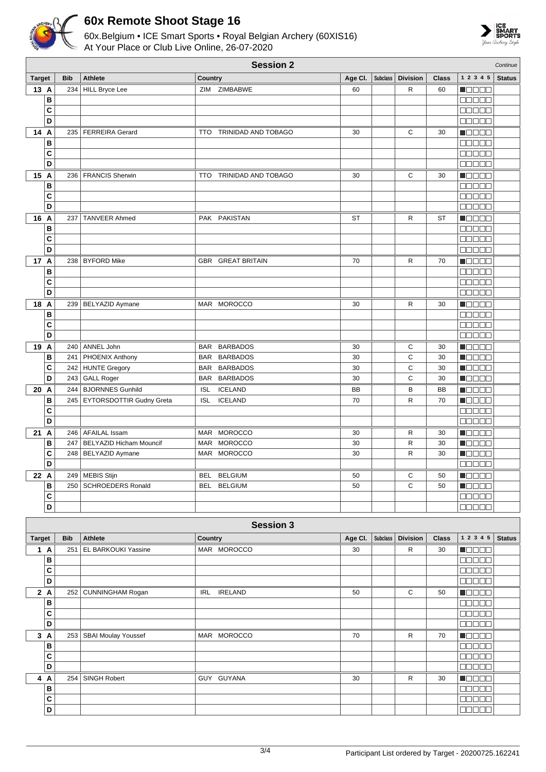

**B C D**

## **60x Remote Shoot Stage 16**

60x.Belgium • ICE Smart Sports • Royal Belgian Archery (60XIS16) At Your Place or Club Live Online, 26-07-2020



| 1 2 3 4 5<br><b>Target</b><br><b>Bib</b><br><b>Athlete</b><br>Age CI.<br><b>Subclass</b><br><b>Division</b><br>Country<br><b>Class</b><br>R<br>13 A<br>234<br><b>HILL Bryce Lee</b><br>ZIM<br>ZIMBABWE<br>60<br>60<br>N OO OO<br>в<br>00000<br>C<br>eenaa<br>D<br><b>Manaa</b><br>14<br><b>FERREIRA Gerard</b><br>TRINIDAD AND TOBAGO<br>С<br>30<br>M W W W W<br>235<br>30<br>A<br>TTO.<br>B<br>88888<br>C<br>ME E E E<br>D<br>00000<br>15 A<br>C<br>236   FRANCIS Sherwin<br>TRINIDAD AND TOBAGO<br>30<br>30<br>Maaaa<br><b>TTO</b><br>00000<br>В<br>C<br><b>REBEE</b><br>D<br>00000<br>16 A<br>237<br><b>TANVEER Ahmed</b><br>PAK PAKISTAN<br><b>ST</b><br>R<br><b>ST</b><br>N BELE<br>в<br><b>BBBBB</b><br>C<br>$\Box$ $\Box$ $\Box$ $\Box$ $\Box$<br>D<br>$\Box$ $\Box$ $\Box$ $\Box$ $\Box$<br><b>NOOCO</b><br>17 A<br>238   BYFORD Mike<br>70<br>R<br>70<br>GBR GREAT BRITAIN<br>B<br>88888<br>C<br>00000<br>D<br>$\Box$ $\Box$ $\Box$ $\Box$ $\Box$<br>R<br>$\blacksquare$<br>18 A<br>239   BELYAZID Aymane<br>MAR MOROCCO<br>30<br>30<br>в<br>an a sh | Continue      |
|---------------------------------------------------------------------------------------------------------------------------------------------------------------------------------------------------------------------------------------------------------------------------------------------------------------------------------------------------------------------------------------------------------------------------------------------------------------------------------------------------------------------------------------------------------------------------------------------------------------------------------------------------------------------------------------------------------------------------------------------------------------------------------------------------------------------------------------------------------------------------------------------------------------------------------------------------------------------------------------------------------------------------------------------------------------|---------------|
|                                                                                                                                                                                                                                                                                                                                                                                                                                                                                                                                                                                                                                                                                                                                                                                                                                                                                                                                                                                                                                                               | <b>Status</b> |
|                                                                                                                                                                                                                                                                                                                                                                                                                                                                                                                                                                                                                                                                                                                                                                                                                                                                                                                                                                                                                                                               |               |
|                                                                                                                                                                                                                                                                                                                                                                                                                                                                                                                                                                                                                                                                                                                                                                                                                                                                                                                                                                                                                                                               |               |
|                                                                                                                                                                                                                                                                                                                                                                                                                                                                                                                                                                                                                                                                                                                                                                                                                                                                                                                                                                                                                                                               |               |
|                                                                                                                                                                                                                                                                                                                                                                                                                                                                                                                                                                                                                                                                                                                                                                                                                                                                                                                                                                                                                                                               |               |
|                                                                                                                                                                                                                                                                                                                                                                                                                                                                                                                                                                                                                                                                                                                                                                                                                                                                                                                                                                                                                                                               |               |
|                                                                                                                                                                                                                                                                                                                                                                                                                                                                                                                                                                                                                                                                                                                                                                                                                                                                                                                                                                                                                                                               |               |
|                                                                                                                                                                                                                                                                                                                                                                                                                                                                                                                                                                                                                                                                                                                                                                                                                                                                                                                                                                                                                                                               |               |
|                                                                                                                                                                                                                                                                                                                                                                                                                                                                                                                                                                                                                                                                                                                                                                                                                                                                                                                                                                                                                                                               |               |
|                                                                                                                                                                                                                                                                                                                                                                                                                                                                                                                                                                                                                                                                                                                                                                                                                                                                                                                                                                                                                                                               |               |
|                                                                                                                                                                                                                                                                                                                                                                                                                                                                                                                                                                                                                                                                                                                                                                                                                                                                                                                                                                                                                                                               |               |
|                                                                                                                                                                                                                                                                                                                                                                                                                                                                                                                                                                                                                                                                                                                                                                                                                                                                                                                                                                                                                                                               |               |
|                                                                                                                                                                                                                                                                                                                                                                                                                                                                                                                                                                                                                                                                                                                                                                                                                                                                                                                                                                                                                                                               |               |
|                                                                                                                                                                                                                                                                                                                                                                                                                                                                                                                                                                                                                                                                                                                                                                                                                                                                                                                                                                                                                                                               |               |
|                                                                                                                                                                                                                                                                                                                                                                                                                                                                                                                                                                                                                                                                                                                                                                                                                                                                                                                                                                                                                                                               |               |
|                                                                                                                                                                                                                                                                                                                                                                                                                                                                                                                                                                                                                                                                                                                                                                                                                                                                                                                                                                                                                                                               |               |
|                                                                                                                                                                                                                                                                                                                                                                                                                                                                                                                                                                                                                                                                                                                                                                                                                                                                                                                                                                                                                                                               |               |
|                                                                                                                                                                                                                                                                                                                                                                                                                                                                                                                                                                                                                                                                                                                                                                                                                                                                                                                                                                                                                                                               |               |
|                                                                                                                                                                                                                                                                                                                                                                                                                                                                                                                                                                                                                                                                                                                                                                                                                                                                                                                                                                                                                                                               |               |
|                                                                                                                                                                                                                                                                                                                                                                                                                                                                                                                                                                                                                                                                                                                                                                                                                                                                                                                                                                                                                                                               |               |
|                                                                                                                                                                                                                                                                                                                                                                                                                                                                                                                                                                                                                                                                                                                                                                                                                                                                                                                                                                                                                                                               |               |
|                                                                                                                                                                                                                                                                                                                                                                                                                                                                                                                                                                                                                                                                                                                                                                                                                                                                                                                                                                                                                                                               |               |
| C<br><b>BBBBB</b>                                                                                                                                                                                                                                                                                                                                                                                                                                                                                                                                                                                                                                                                                                                                                                                                                                                                                                                                                                                                                                             |               |
| D<br>88888                                                                                                                                                                                                                                                                                                                                                                                                                                                                                                                                                                                                                                                                                                                                                                                                                                                                                                                                                                                                                                                    |               |
| 19<br>240 ANNEL John<br>BAR BARBADOS                                                                                                                                                                                                                                                                                                                                                                                                                                                                                                                                                                                                                                                                                                                                                                                                                                                                                                                                                                                                                          |               |
| $\overline{A}$<br>С<br>30<br>30<br>MOOO A<br>C<br>B<br>BAR BARBADOS<br>30<br>30<br>241   PHOENIX Anthony<br>N E E E E                                                                                                                                                                                                                                                                                                                                                                                                                                                                                                                                                                                                                                                                                                                                                                                                                                                                                                                                         |               |
| C<br>C<br>242 HUNTE Gregory<br>BAR BARBADOS<br>30<br>30<br>de e el                                                                                                                                                                                                                                                                                                                                                                                                                                                                                                                                                                                                                                                                                                                                                                                                                                                                                                                                                                                            |               |
| C<br>D<br>Maaaa<br>243 GALL Roger<br>BAR BARBADOS<br>30<br>30                                                                                                                                                                                                                                                                                                                                                                                                                                                                                                                                                                                                                                                                                                                                                                                                                                                                                                                                                                                                 |               |
| 20 A<br>244   BJORNNES Gunhild<br><b>ICELAND</b><br>B<br><b>ISL</b><br><b>BB</b><br>BB<br>M E E E E                                                                                                                                                                                                                                                                                                                                                                                                                                                                                                                                                                                                                                                                                                                                                                                                                                                                                                                                                           |               |
| B<br><b>ICELAND</b><br>R<br>70<br>$\blacksquare$ $\square$ $\square$ $\square$<br>245   EYTORSDOTTIR Gudny Greta<br><b>ISL</b><br>70                                                                                                                                                                                                                                                                                                                                                                                                                                                                                                                                                                                                                                                                                                                                                                                                                                                                                                                          |               |
| C<br>$\Box$ $\Box$ $\Box$ $\Box$ $\Box$                                                                                                                                                                                                                                                                                                                                                                                                                                                                                                                                                                                                                                                                                                                                                                                                                                                                                                                                                                                                                       |               |
| D<br>00000                                                                                                                                                                                                                                                                                                                                                                                                                                                                                                                                                                                                                                                                                                                                                                                                                                                                                                                                                                                                                                                    |               |
| <b>MOROCCO</b><br><b>N</b> OOOO<br>21 A<br>246   AFAILAL Issam<br>R<br>MAR<br>30<br>30                                                                                                                                                                                                                                                                                                                                                                                                                                                                                                                                                                                                                                                                                                                                                                                                                                                                                                                                                                        |               |
| B<br><b>MOROCCO</b><br>n an an<br><b>BELYAZID Hicham Mouncif</b><br><b>MAR</b><br>30<br>R<br>30<br>247                                                                                                                                                                                                                                                                                                                                                                                                                                                                                                                                                                                                                                                                                                                                                                                                                                                                                                                                                        |               |
| C<br>MAR MOROCCO<br>248   BELYAZID Aymane<br>30<br>R<br>30<br>MOO OO                                                                                                                                                                                                                                                                                                                                                                                                                                                                                                                                                                                                                                                                                                                                                                                                                                                                                                                                                                                          |               |
| D<br>00000                                                                                                                                                                                                                                                                                                                                                                                                                                                                                                                                                                                                                                                                                                                                                                                                                                                                                                                                                                                                                                                    |               |
| 249 MEBIS Stijn<br>BEL BELGIUM<br>С<br>22 A<br>50<br>50<br>N OO OO                                                                                                                                                                                                                                                                                                                                                                                                                                                                                                                                                                                                                                                                                                                                                                                                                                                                                                                                                                                            |               |
| В<br>250   SCHROEDERS Ronald<br>BEL BELGIUM<br>50<br>C<br>50<br><b>H</b> OOOO                                                                                                                                                                                                                                                                                                                                                                                                                                                                                                                                                                                                                                                                                                                                                                                                                                                                                                                                                                                 |               |
| $\mathbf{C}$<br>00000                                                                                                                                                                                                                                                                                                                                                                                                                                                                                                                                                                                                                                                                                                                                                                                                                                                                                                                                                                                                                                         |               |
| D<br><b>00000</b>                                                                                                                                                                                                                                                                                                                                                                                                                                                                                                                                                                                                                                                                                                                                                                                                                                                                                                                                                                                                                                             |               |
|                                                                                                                                                                                                                                                                                                                                                                                                                                                                                                                                                                                                                                                                                                                                                                                                                                                                                                                                                                                                                                                               |               |
| <b>Session 3</b>                                                                                                                                                                                                                                                                                                                                                                                                                                                                                                                                                                                                                                                                                                                                                                                                                                                                                                                                                                                                                                              |               |
| <b>Target</b><br>Subclass<br><b>Division</b><br>1 2 3 4 5<br><b>Bib</b><br>Athlete<br>Age Cl.<br>Country<br><b>Class</b>                                                                                                                                                                                                                                                                                                                                                                                                                                                                                                                                                                                                                                                                                                                                                                                                                                                                                                                                      | <b>Status</b> |
| 1 A<br>251<br>EL BARKOUKI Yassine<br>MAR MOROCCO<br>R<br>30<br>Maaaa<br>30                                                                                                                                                                                                                                                                                                                                                                                                                                                                                                                                                                                                                                                                                                                                                                                                                                                                                                                                                                                    |               |
| В<br><b>Manaa</b>                                                                                                                                                                                                                                                                                                                                                                                                                                                                                                                                                                                                                                                                                                                                                                                                                                                                                                                                                                                                                                             |               |
| C<br>00000                                                                                                                                                                                                                                                                                                                                                                                                                                                                                                                                                                                                                                                                                                                                                                                                                                                                                                                                                                                                                                                    |               |
| D<br><b>00000</b>                                                                                                                                                                                                                                                                                                                                                                                                                                                                                                                                                                                                                                                                                                                                                                                                                                                                                                                                                                                                                                             |               |
| 2A<br>252 CUNNINGHAM Rogan<br>С<br>$\blacksquare$ $\square$ $\square$ $\square$<br>IRL IRELAND<br>50<br>50                                                                                                                                                                                                                                                                                                                                                                                                                                                                                                                                                                                                                                                                                                                                                                                                                                                                                                                                                    |               |
| B<br><b>BBBBB</b>                                                                                                                                                                                                                                                                                                                                                                                                                                                                                                                                                                                                                                                                                                                                                                                                                                                                                                                                                                                                                                             |               |
| C<br><b>00000</b><br>D                                                                                                                                                                                                                                                                                                                                                                                                                                                                                                                                                                                                                                                                                                                                                                                                                                                                                                                                                                                                                                        |               |
| 00000                                                                                                                                                                                                                                                                                                                                                                                                                                                                                                                                                                                                                                                                                                                                                                                                                                                                                                                                                                                                                                                         |               |
| $\blacksquare$ $\square$ $\square$ $\blacksquare$<br>3A<br>MAR MOROCCO<br>253   SBAI Moulay Youssef<br>70<br>R<br>70                                                                                                                                                                                                                                                                                                                                                                                                                                                                                                                                                                                                                                                                                                                                                                                                                                                                                                                                          |               |
| В<br><b>00000</b><br>C<br>ooooo                                                                                                                                                                                                                                                                                                                                                                                                                                                                                                                                                                                                                                                                                                                                                                                                                                                                                                                                                                                                                               |               |
| D<br><b>00000</b>                                                                                                                                                                                                                                                                                                                                                                                                                                                                                                                                                                                                                                                                                                                                                                                                                                                                                                                                                                                                                                             |               |
| 254 SINGH Robert<br>GUY GUYANA<br>R<br><b>Reces</b><br>4 A<br>30<br>30                                                                                                                                                                                                                                                                                                                                                                                                                                                                                                                                                                                                                                                                                                                                                                                                                                                                                                                                                                                        |               |

 $\overline{00000}$ **accoo** |aaaaa